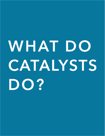# **WHAT DO CATALYSTS DO?**